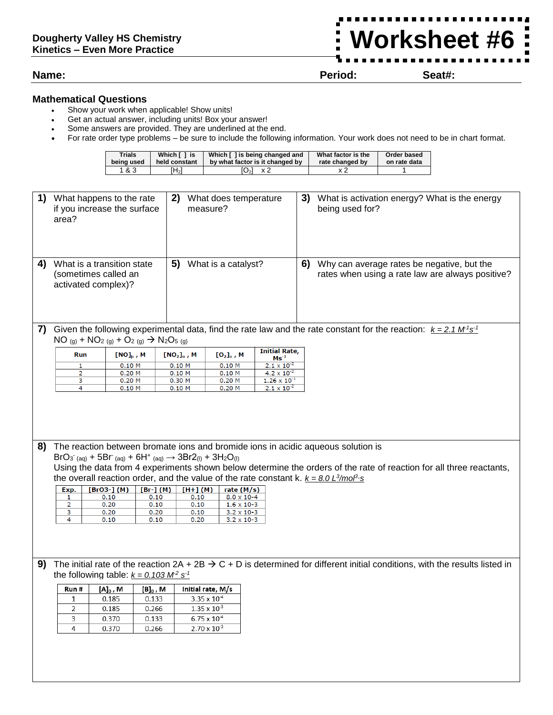## **Worksheet #6**Ē

## **Name: Period: Seat#:**

## **Mathematical Questions**

- Show your work when applicable! Show units!
- Get an actual answer, including units! Box your answer!
- Some answers are provided. They are underlined at the end.
- For rate order type problems be sure to include the following information. Your work does not need to be in chart format.

| <b>Trials</b> | Which [ 1 is  | Which [] is being changed and   | What factor is the | Order based  |
|---------------|---------------|---------------------------------|--------------------|--------------|
| being used    | held constant | by what factor is it changed by | rate changed by    | on rate data |
| 1&3           | Ή2)           | x 2<br>$O_2$                    |                    |              |

|    | 1) What happens to the rate<br>if you increase the surface<br>area?                                 |                                                                                            |             | 2) What does temperature<br>measure? |                       |                                              |    | 3) What is activation energy? What is the energy<br>being used for?                                                                     |  |  |
|----|-----------------------------------------------------------------------------------------------------|--------------------------------------------------------------------------------------------|-------------|--------------------------------------|-----------------------|----------------------------------------------|----|-----------------------------------------------------------------------------------------------------------------------------------------|--|--|
| 4) | What is a transition state<br>(sometimes called an<br>activated complex)?                           |                                                                                            |             | 5) What is a catalyst?               |                       |                                              | 6) | Why can average rates be negative, but the<br>rates when using a rate law are always positive?                                          |  |  |
| 7) |                                                                                                     |                                                                                            |             |                                      |                       |                                              |    | Given the following experimental data, find the rate law and the rate constant for the reaction: $k = 2.1 M^3 s^3$                      |  |  |
|    |                                                                                                     | $NO_{(g)} + NO_{2(g)} + O_{2(g)} \rightarrow N_{2}O_{5(g)}$                                |             |                                      |                       | <b>Initial Rate,</b>                         |    |                                                                                                                                         |  |  |
|    | Run                                                                                                 | $[NO]_p$ , M                                                                               |             | $[NO2]o$ , M                         | $[O_2]_0$ , M         | $\mathsf{Ms}^{\text{-1}}$                    |    |                                                                                                                                         |  |  |
|    | 1<br>2                                                                                              | 0.10 M<br>0.20 M                                                                           |             | 0.10 M<br>0.10 M                     | $0.10$ M<br>0.10 M    | $2.1 \times 10^{-2}$<br>$4.2 \times 10^{-2}$ |    |                                                                                                                                         |  |  |
|    | 3                                                                                                   | 0.20 M                                                                                     |             | 0.30 M                               | $0.20$ M              | $1.26 \times 10^{-1}$                        |    |                                                                                                                                         |  |  |
|    | 4                                                                                                   | 0.10 M                                                                                     |             | 0.10 M                               | $0.20$ M              | $2.1 \times 10^{-2}$                         |    |                                                                                                                                         |  |  |
|    |                                                                                                     |                                                                                            |             |                                      |                       |                                              |    |                                                                                                                                         |  |  |
| 8) |                                                                                                     |                                                                                            |             |                                      |                       |                                              |    | The reaction between bromate ions and bromide ions in acidic aqueous solution is                                                        |  |  |
|    |                                                                                                     | $BrO3$ (aq) + 5Br (aq) + 6H <sup>+</sup> (aq) $\rightarrow$ 3Br2(l) + 3H <sub>2</sub> O(l) |             |                                      |                       |                                              |    | Using the data from 4 experiments shown below determine the orders of the rate of reaction for all three reactants,                     |  |  |
|    |                                                                                                     |                                                                                            |             |                                      |                       |                                              |    | the overall reaction order, and the value of the rate constant k. $k = 8.0 L^3/mol^3$ .                                                 |  |  |
|    |                                                                                                     | [BrO3-] $(M)$                                                                              | $[Br-] (M)$ |                                      |                       |                                              |    |                                                                                                                                         |  |  |
|    | $[H+](M)$<br>Exp.<br>rate $(M/s)$<br>0.10<br>$8.0 \times 10 - 4$<br>0.10<br>0.10<br>1               |                                                                                            |             |                                      |                       |                                              |    |                                                                                                                                         |  |  |
|    | 2<br>0.20<br>0.10<br>0.10<br>$1.6 \times 10.3$<br>3<br>0.20<br>0.20<br>0.10<br>$3.2 \times 10^{-3}$ |                                                                                            |             |                                      |                       |                                              |    |                                                                                                                                         |  |  |
|    | 4                                                                                                   | 0.10                                                                                       | 0.10        | 0.20                                 | $3.2 \times 10^{-3}$  |                                              |    |                                                                                                                                         |  |  |
|    |                                                                                                     |                                                                                            |             |                                      |                       |                                              |    |                                                                                                                                         |  |  |
|    |                                                                                                     |                                                                                            |             |                                      |                       |                                              |    |                                                                                                                                         |  |  |
|    |                                                                                                     |                                                                                            |             |                                      |                       |                                              |    |                                                                                                                                         |  |  |
| 9) |                                                                                                     |                                                                                            |             |                                      |                       |                                              |    | The initial rate of the reaction $2A + 2B \rightarrow C + D$ is determined for different initial conditions, with the results listed in |  |  |
|    |                                                                                                     | the following table: $k = 0.103 M^2 s^{-1}$                                                |             |                                      |                       |                                              |    |                                                                                                                                         |  |  |
|    | Run #                                                                                               | $[A]_0$ , M                                                                                | $[B]_0$ , M |                                      | Initial rate, M/s     |                                              |    |                                                                                                                                         |  |  |
|    | $\mathbf{1}$                                                                                        | 0.185                                                                                      | 0.133       |                                      | $3.35 \times 10^{-4}$ |                                              |    |                                                                                                                                         |  |  |
|    | 2                                                                                                   | 0.185                                                                                      | 0.266       |                                      | $1.35 \times 10^{-3}$ |                                              |    |                                                                                                                                         |  |  |
|    | 3                                                                                                   | 0.370                                                                                      | 0.133       |                                      | $6.75 \times 10^{-4}$ |                                              |    |                                                                                                                                         |  |  |
|    | 4                                                                                                   | 0.370                                                                                      | 0.266       |                                      | $2.70 \times 10^{-3}$ |                                              |    |                                                                                                                                         |  |  |
|    |                                                                                                     |                                                                                            |             |                                      |                       |                                              |    |                                                                                                                                         |  |  |
|    |                                                                                                     |                                                                                            |             |                                      |                       |                                              |    |                                                                                                                                         |  |  |
|    |                                                                                                     |                                                                                            |             |                                      |                       |                                              |    |                                                                                                                                         |  |  |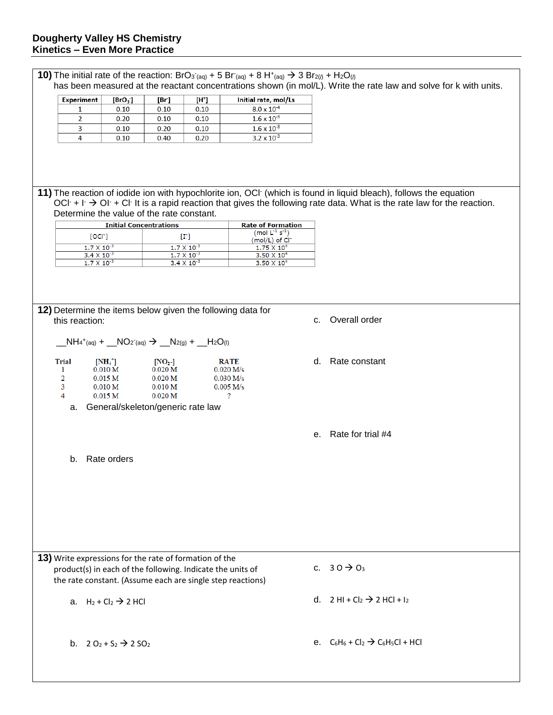| Experiment                                                                                                           | [BrO <sub>3</sub> ]                                                         | [Br]                                                                                   | $[H^*]$                                                                                                                                                                                                                                                                    | Initial rate, mol/Ls                                                   |    |                                                                                                                                                                                                                                                           |
|----------------------------------------------------------------------------------------------------------------------|-----------------------------------------------------------------------------|----------------------------------------------------------------------------------------|----------------------------------------------------------------------------------------------------------------------------------------------------------------------------------------------------------------------------------------------------------------------------|------------------------------------------------------------------------|----|-----------------------------------------------------------------------------------------------------------------------------------------------------------------------------------------------------------------------------------------------------------|
| 1                                                                                                                    | 0.10                                                                        | 0.10                                                                                   | 0.10                                                                                                                                                                                                                                                                       | $8.0 \times 10^{-4}$                                                   |    |                                                                                                                                                                                                                                                           |
| $\overline{2}$                                                                                                       | 0.20                                                                        | 0.10                                                                                   | 0.10                                                                                                                                                                                                                                                                       | $1.6 \times 10^{-3}$                                                   |    |                                                                                                                                                                                                                                                           |
| 3                                                                                                                    | 0.10                                                                        | 0.20                                                                                   | 0.10                                                                                                                                                                                                                                                                       | $1.6 \times 10^{-3}$                                                   |    |                                                                                                                                                                                                                                                           |
| 4                                                                                                                    | 0.10                                                                        | 0.40                                                                                   | 0.20                                                                                                                                                                                                                                                                       | $3.2 \times 10^{-3}$                                                   |    |                                                                                                                                                                                                                                                           |
|                                                                                                                      |                                                                             |                                                                                        |                                                                                                                                                                                                                                                                            |                                                                        |    | 11) The reaction of iodide ion with hypochlorite ion, OCI (which is found in liquid bleach), follows the equation<br>OCI + $\Gamma \rightarrow$ OI + CI It is a rapid reaction that gives the following rate data. What is the rate law for the reaction. |
| Determine the value of the rate constant.                                                                            |                                                                             |                                                                                        |                                                                                                                                                                                                                                                                            |                                                                        |    |                                                                                                                                                                                                                                                           |
|                                                                                                                      | <b>Initial Concentrations</b>                                               |                                                                                        |                                                                                                                                                                                                                                                                            | <b>Rate of Formation</b>                                               |    |                                                                                                                                                                                                                                                           |
| [OCI <sub>1</sub> ]                                                                                                  |                                                                             |                                                                                        | $[\Gamma] % \centering \includegraphics[width=0.9\textwidth]{images/TrDiS/N20012-0.021111.pdf} \caption{The 3D (top) and the 4D (bottom) of the 3D (bottom) and the 4D (bottom) of the 3D (bottom) and the 4D (bottom) of the 3D (bottom).} \label{TrDiS/N20012-0.211111}$ | (mod L <sup>1</sup> s <sup>1</sup> )<br>$(mod/L)$ of $Cl^-$            |    |                                                                                                                                                                                                                                                           |
| $1.7 \times 10^{-3}$                                                                                                 |                                                                             |                                                                                        | $1.7 \times 10^{-3}$                                                                                                                                                                                                                                                       | $1.75 \times 10^4$                                                     |    |                                                                                                                                                                                                                                                           |
| $3.4 \times 10^{-3}$                                                                                                 |                                                                             |                                                                                        | $1.7 \times 10^{-3}$                                                                                                                                                                                                                                                       | $3.50 \times 10^4$                                                     |    |                                                                                                                                                                                                                                                           |
| $1.7 \times 10^{-3}$                                                                                                 |                                                                             |                                                                                        | $3.4 \times 10^{-3}$                                                                                                                                                                                                                                                       | $3.50 \times 10^4$                                                     |    |                                                                                                                                                                                                                                                           |
| this reaction:                                                                                                       |                                                                             |                                                                                        |                                                                                                                                                                                                                                                                            | 12) Determine the items below given the following data for             | C. | Overall order                                                                                                                                                                                                                                             |
| $N H_4^+(aq)$ + $N O_2^-(aq)$ $\rightarrow$ $N_{2(g)}$ + $N_{2O(1)}$                                                 |                                                                             |                                                                                        |                                                                                                                                                                                                                                                                            |                                                                        |    |                                                                                                                                                                                                                                                           |
| <b>Trial</b><br>1<br>2<br>3<br>$\overline{4}$                                                                        | $[NH4^+]$<br>0.010 M<br>0.015 <sub>M</sub><br>0.010 M<br>0.015 <sub>M</sub> | $[NO_2$ -<br>0.020 <sub>M</sub><br>0.020 <sub>M</sub><br>0.010 M<br>0.020 <sub>M</sub> |                                                                                                                                                                                                                                                                            | <b>RATE</b><br>0.020 M/s<br>0.030 M/s<br>$0.005$ M/s<br>$\overline{?}$ | d. | Rate constant                                                                                                                                                                                                                                             |
| a.                                                                                                                   |                                                                             | General/skeleton/generic rate law                                                      |                                                                                                                                                                                                                                                                            |                                                                        |    |                                                                                                                                                                                                                                                           |
|                                                                                                                      |                                                                             |                                                                                        |                                                                                                                                                                                                                                                                            |                                                                        |    | e. Rate for trial #4                                                                                                                                                                                                                                      |
| b.                                                                                                                   | Rate orders                                                                 |                                                                                        |                                                                                                                                                                                                                                                                            |                                                                        |    |                                                                                                                                                                                                                                                           |
|                                                                                                                      |                                                                             |                                                                                        |                                                                                                                                                                                                                                                                            |                                                                        |    |                                                                                                                                                                                                                                                           |
|                                                                                                                      |                                                                             |                                                                                        |                                                                                                                                                                                                                                                                            |                                                                        |    |                                                                                                                                                                                                                                                           |
| 13) Write expressions for the rate of formation of the<br>product(s) in each of the following. Indicate the units of |                                                                             |                                                                                        |                                                                                                                                                                                                                                                                            | the rate constant. (Assume each are single step reactions)             |    | c. $30 \rightarrow O_3$                                                                                                                                                                                                                                   |
|                                                                                                                      | a. $H_2 + Cl_2 \rightarrow 2 HCl$                                           |                                                                                        |                                                                                                                                                                                                                                                                            |                                                                        |    | d. $2 \text{ HI} + \text{Cl}_2 \rightarrow 2 \text{ HCl} + I_2$                                                                                                                                                                                           |
|                                                                                                                      |                                                                             |                                                                                        |                                                                                                                                                                                                                                                                            |                                                                        |    |                                                                                                                                                                                                                                                           |